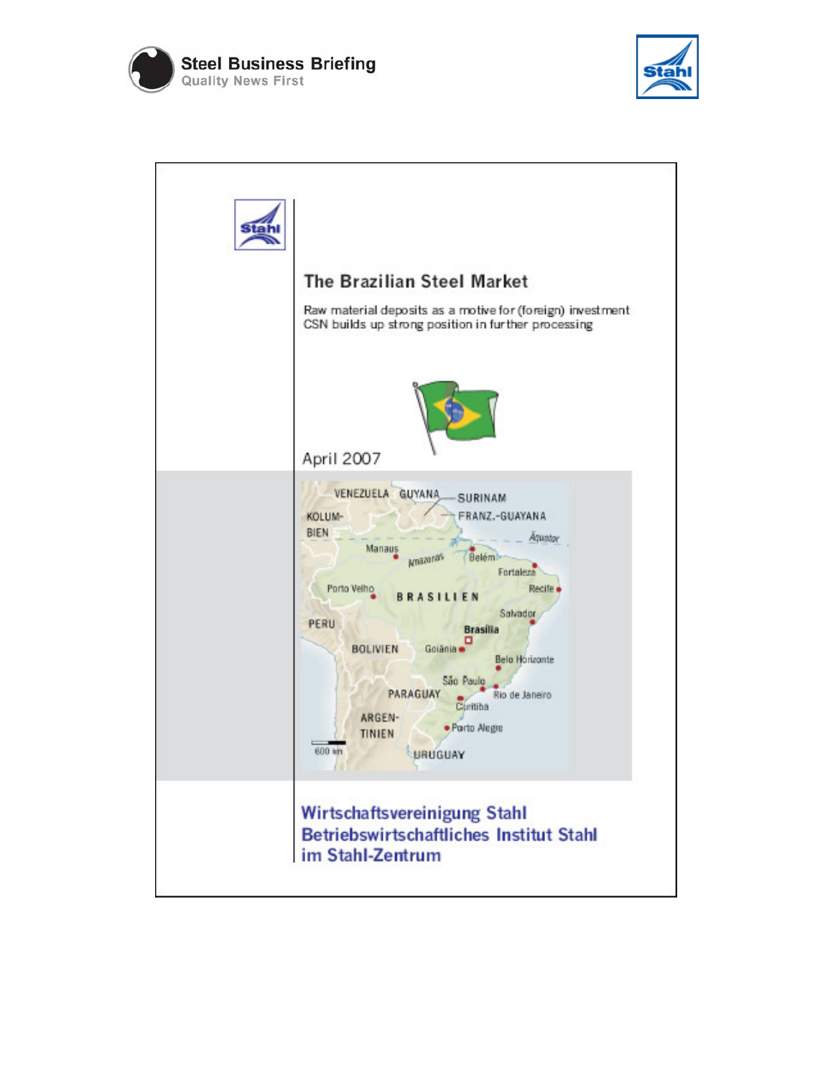



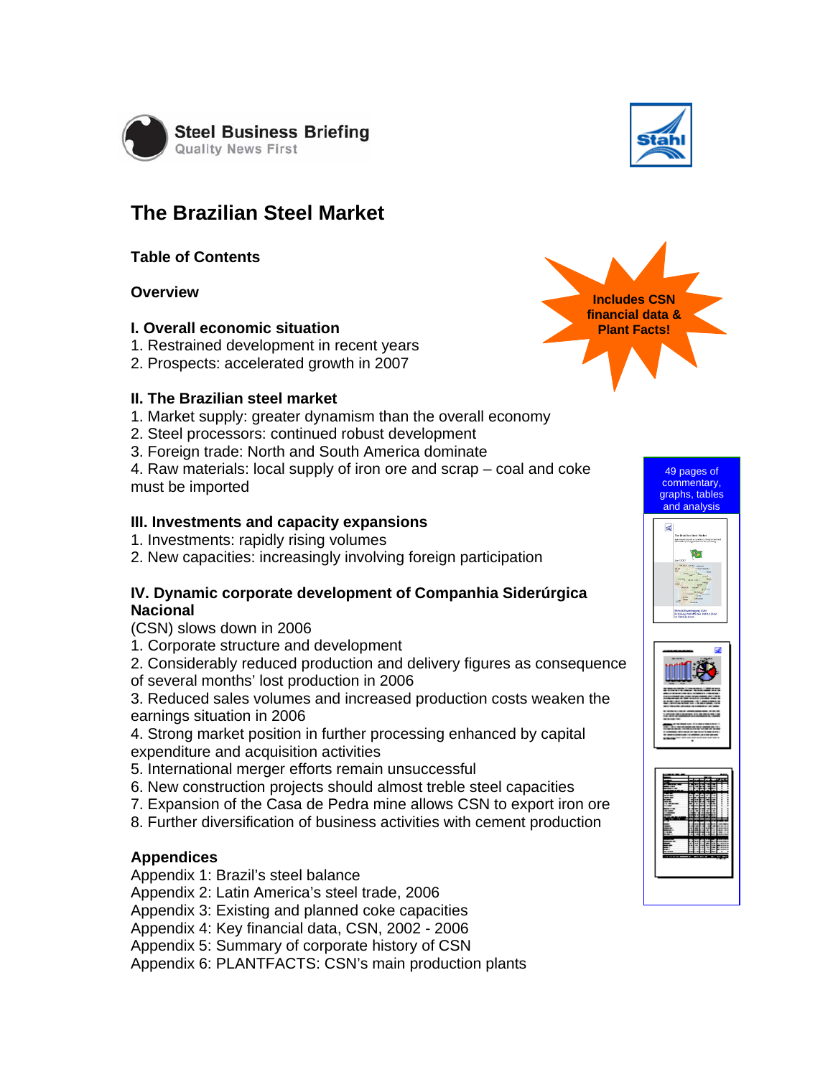

# **The Brazilian Steel Market**

## **Table of Contents**

# **Overview**

#### **I. Overall economic situation**

- 1. Restrained development in recent years
- 2. Prospects: accelerated growth in 2007

#### **II. The Brazilian steel market**

- 1. Market supply: greater dynamism than the overall economy
- 2. Steel processors: continued robust development
- 3. Foreign trade: North and South America dominate

4. Raw materials: local supply of iron ore and scrap – coal and coke must be imported

#### **III. Investments and capacity expansions**

- 1. Investments: rapidly rising volumes
- 2. New capacities: increasingly involving foreign participation

## **IV. Dynamic corporate development of Companhia Siderúrgica Nacional**

- (CSN) slows down in 2006
- 1. Corporate structure and development
- 2. Considerably reduced production and delivery figures as consequence
- of several months' lost production in 2006
- 3. Reduced sales volumes and increased production costs weaken the earnings situation in 2006
- 4. Strong market position in further processing enhanced by capital expenditure and acquisition activities
- 5. International merger efforts remain unsuccessful
- 6. New construction projects should almost treble steel capacities
- 7. Expansion of the Casa de Pedra mine allows CSN to export iron ore
- 8. Further diversification of business activities with cement production

## **Appendices**

Appendix 1: Brazil's steel balance

Appendix 2: Latin America's steel trade, 2006

Appendix 3: Existing and planned coke capacities

Appendix 4: Key financial data, CSN, 2002 - 2006

Appendix 5: Summary of corporate history of CSN

Appendix 6: PLANTFACTS: CSN's main production plants







49 pages of